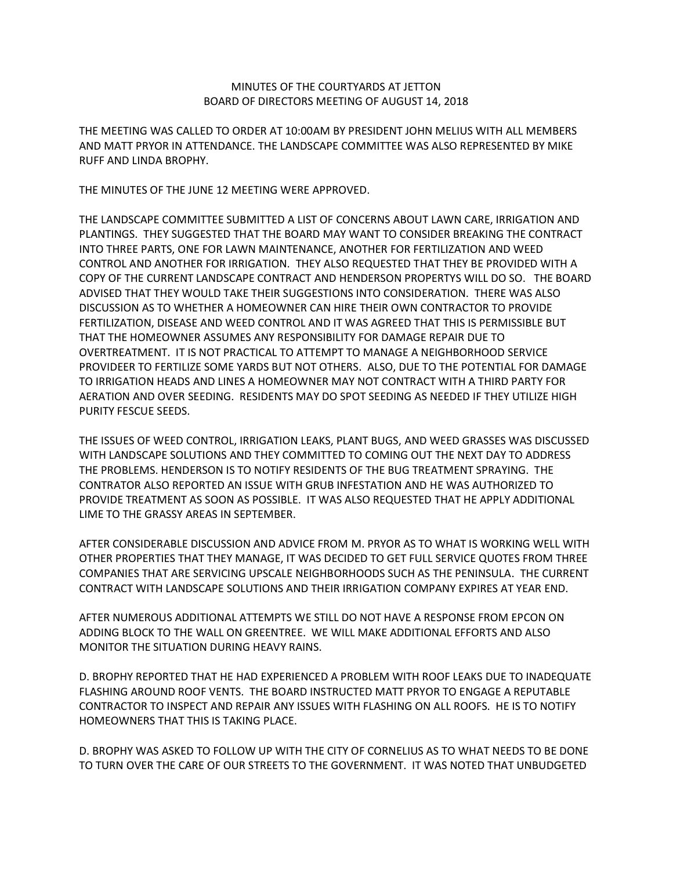## MINUTES OF THE COURTYARDS AT JETTON BOARD OF DIRECTORS MEETING OF AUGUST 14, 2018

THE MEETING WAS CALLED TO ORDER AT 10:00AM BY PRESIDENT JOHN MELIUS WITH ALL MEMBERS AND MATT PRYOR IN ATTENDANCE. THE LANDSCAPE COMMITTEE WAS ALSO REPRESENTED BY MIKE RUFF AND LINDA BROPHY.

THE MINUTES OF THE JUNE 12 MEETING WERE APPROVED.

THE LANDSCAPE COMMITTEE SUBMITTED A LIST OF CONCERNS ABOUT LAWN CARE, IRRIGATION AND PLANTINGS. THEY SUGGESTED THAT THE BOARD MAY WANT TO CONSIDER BREAKING THE CONTRACT INTO THREE PARTS, ONE FOR LAWN MAINTENANCE, ANOTHER FOR FERTILIZATION AND WEED CONTROL AND ANOTHER FOR IRRIGATION. THEY ALSO REQUESTED THAT THEY BE PROVIDED WITH A COPY OF THE CURRENT LANDSCAPE CONTRACT AND HENDERSON PROPERTYS WILL DO SO. THE BOARD ADVISED THAT THEY WOULD TAKE THEIR SUGGESTIONS INTO CONSIDERATION. THERE WAS ALSO DISCUSSION AS TO WHETHER A HOMEOWNER CAN HIRE THEIR OWN CONTRACTOR TO PROVIDE FERTILIZATION, DISEASE AND WEED CONTROL AND IT WAS AGREED THAT THIS IS PERMISSIBLE BUT THAT THE HOMEOWNER ASSUMES ANY RESPONSIBILITY FOR DAMAGE REPAIR DUE TO OVERTREATMENT. IT IS NOT PRACTICAL TO ATTEMPT TO MANAGE A NEIGHBORHOOD SERVICE PROVIDEER TO FERTILIZE SOME YARDS BUT NOT OTHERS. ALSO, DUE TO THE POTENTIAL FOR DAMAGE TO IRRIGATION HEADS AND LINES A HOMEOWNER MAY NOT CONTRACT WITH A THIRD PARTY FOR AERATION AND OVER SEEDING. RESIDENTS MAY DO SPOT SEEDING AS NEEDED IF THEY UTILIZE HIGH PURITY FESCUE SEEDS.

THE ISSUES OF WEED CONTROL, IRRIGATION LEAKS, PLANT BUGS, AND WEED GRASSES WAS DISCUSSED WITH LANDSCAPE SOLUTIONS AND THEY COMMITTED TO COMING OUT THE NEXT DAY TO ADDRESS THE PROBLEMS. HENDERSON IS TO NOTIFY RESIDENTS OF THE BUG TREATMENT SPRAYING. THE CONTRATOR ALSO REPORTED AN ISSUE WITH GRUB INFESTATION AND HE WAS AUTHORIZED TO PROVIDE TREATMENT AS SOON AS POSSIBLE. IT WAS ALSO REQUESTED THAT HE APPLY ADDITIONAL LIME TO THE GRASSY AREAS IN SEPTEMBER.

AFTER CONSIDERABLE DISCUSSION AND ADVICE FROM M. PRYOR AS TO WHAT IS WORKING WELL WITH OTHER PROPERTIES THAT THEY MANAGE, IT WAS DECIDED TO GET FULL SERVICE QUOTES FROM THREE COMPANIES THAT ARE SERVICING UPSCALE NEIGHBORHOODS SUCH AS THE PENINSULA. THE CURRENT CONTRACT WITH LANDSCAPE SOLUTIONS AND THEIR IRRIGATION COMPANY EXPIRES AT YEAR END.

AFTER NUMEROUS ADDITIONAL ATTEMPTS WE STILL DO NOT HAVE A RESPONSE FROM EPCON ON ADDING BLOCK TO THE WALL ON GREENTREE. WE WILL MAKE ADDITIONAL EFFORTS AND ALSO MONITOR THE SITUATION DURING HEAVY RAINS.

D. BROPHY REPORTED THAT HE HAD EXPERIENCED A PROBLEM WITH ROOF LEAKS DUE TO INADEQUATE FLASHING AROUND ROOF VENTS. THE BOARD INSTRUCTED MATT PRYOR TO ENGAGE A REPUTABLE CONTRACTOR TO INSPECT AND REPAIR ANY ISSUES WITH FLASHING ON ALL ROOFS. HE IS TO NOTIFY HOMEOWNERS THAT THIS IS TAKING PLACE.

D. BROPHY WAS ASKED TO FOLLOW UP WITH THE CITY OF CORNELIUS AS TO WHAT NEEDS TO BE DONE TO TURN OVER THE CARE OF OUR STREETS TO THE GOVERNMENT. IT WAS NOTED THAT UNBUDGETED